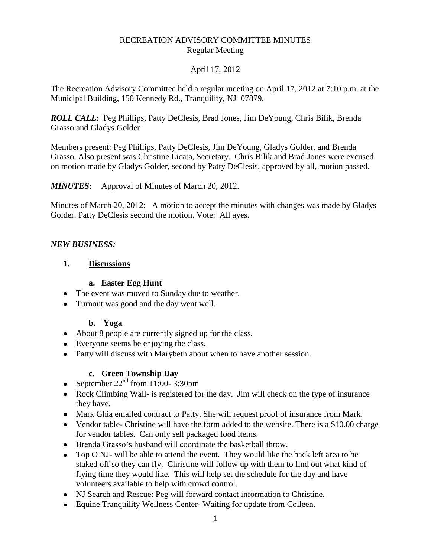#### RECREATION ADVISORY COMMITTEE MINUTES Regular Meeting

### April 17, 2012

The Recreation Advisory Committee held a regular meeting on April 17, 2012 at 7:10 p.m. at the Municipal Building, 150 Kennedy Rd., Tranquility, NJ 07879.

*ROLL CALL***:** Peg Phillips, Patty DeClesis, Brad Jones, Jim DeYoung, Chris Bilik, Brenda Grasso and Gladys Golder

Members present: Peg Phillips, Patty DeClesis, Jim DeYoung, Gladys Golder, and Brenda Grasso. Also present was Christine Licata, Secretary. Chris Bilik and Brad Jones were excused on motion made by Gladys Golder, second by Patty DeClesis, approved by all, motion passed.

### *MINUTES:* Approval of Minutes of March 20, 2012.

Minutes of March 20, 2012: A motion to accept the minutes with changes was made by Gladys Golder. Patty DeClesis second the motion. Vote: All ayes.

### *NEW BUSINESS:*

### **1. Discussions**

#### **a. Easter Egg Hunt**

- The event was moved to Sunday due to weather.
- Turnout was good and the day went well.

### **b. Yoga**

- About 8 people are currently signed up for the class.
- Everyone seems be enjoying the class.
- Patty will discuss with Marybeth about when to have another session.

### **c. Green Township Day**

- September  $22<sup>nd</sup>$  from 11:00-3:30pm
- Rock Climbing Wall- is registered for the day. Jim will check on the type of insurance they have.
- Mark Ghia emailed contract to Patty. She will request proof of insurance from Mark.
- Vendor table- Christine will have the form added to the website. There is a \$10.00 charge for vendor tables. Can only sell packaged food items.
- Brenda Grasso's husband will coordinate the basketball throw.
- Top O NJ- will be able to attend the event. They would like the back left area to be staked off so they can fly. Christine will follow up with them to find out what kind of flying time they would like. This will help set the schedule for the day and have volunteers available to help with crowd control.
- NJ Search and Rescue: Peg will forward contact information to Christine.
- Equine Tranquility Wellness Center- Waiting for update from Colleen.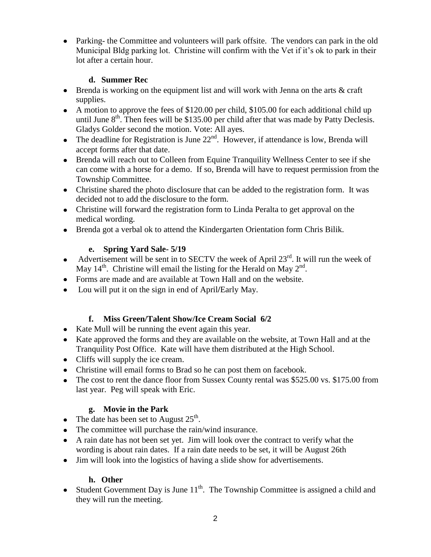• Parking- the Committee and volunteers will park offsite. The vendors can park in the old Municipal Bldg parking lot. Christine will confirm with the Vet if it's ok to park in their lot after a certain hour.

### **d. Summer Rec**

- $\bullet$  Brenda is working on the equipment list and will work with Jenna on the arts  $\&$  craft supplies.
- A motion to approve the fees of \$120.00 per child, \$105.00 for each additional child up until June  $8<sup>th</sup>$ . Then fees will be \$135.00 per child after that was made by Patty Declesis. Gladys Golder second the motion. Vote: All ayes.
- The deadline for Registration is June  $22<sup>nd</sup>$ . However, if attendance is low, Brenda will accept forms after that date.
- Brenda will reach out to Colleen from Equine Tranquility Wellness Center to see if she can come with a horse for a demo. If so, Brenda will have to request permission from the Township Committee.
- Christine shared the photo disclosure that can be added to the registration form. It was decided not to add the disclosure to the form.
- Christine will forward the registration form to Linda Peralta to get approval on the medical wording.
- Brenda got a verbal ok to attend the Kindergarten Orientation form Chris Bilik.

## **e. Spring Yard Sale- 5/19**

- Advertisement will be sent in to SECTV the week of April  $23^{rd}$ . It will run the week of May  $14^{th}$ . Christine will email the listing for the Herald on May  $2^{nd}$ .
- Forms are made and are available at Town Hall and on the website.
- Lou will put it on the sign in end of April**/**Early May.

# **f. Miss Green/Talent Show/Ice Cream Social 6/2**

- Kate Mull will be running the event again this year.
- Kate approved the forms and they are available on the website, at Town Hall and at the Tranquility Post Office. Kate will have them distributed at the High School.
- Cliffs will supply the ice cream.
- Christine will email forms to Brad so he can post them on facebook.
- The cost to rent the dance floor from Sussex County rental was \$525.00 vs. \$175.00 from last year. Peg will speak with Eric.

# **g. Movie in the Park**

- The date has been set to August  $25<sup>th</sup>$ .
- The committee will purchase the rain/wind insurance.
- A rain date has not been set yet. Jim will look over the contract to verify what the wording is about rain dates. If a rain date needs to be set, it will be August 26th
- Jim will look into the logistics of having a slide show for advertisements.

# **h. Other**

• Student Government Day is June  $11<sup>th</sup>$ . The Township Committee is assigned a child and they will run the meeting.